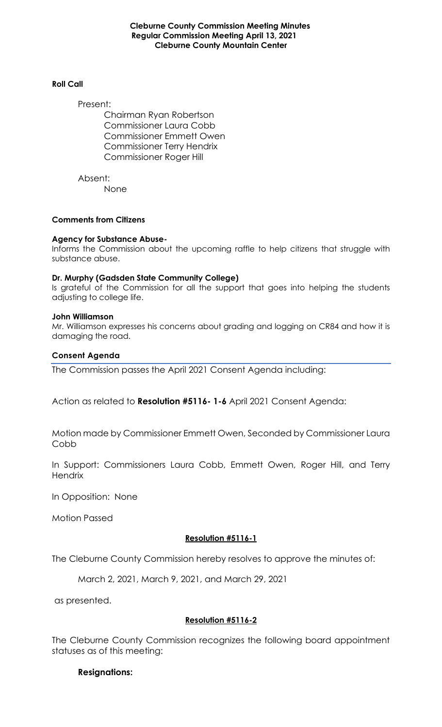**Cleburne County Commission Meeting Minutes Regular Commission Meeting April 13, 2021 Cleburne County Mountain Center**

### **Roll Call**

Present:

Chairman Ryan Robertson Commissioner Laura Cobb Commissioner Emmett Owen Commissioner Terry Hendrix Commissioner Roger Hill

Absent: None

### **Comments from Citizens**

#### **Agency for Substance Abuse-**

Informs the Commission about the upcoming raffle to help citizens that struggle with substance abuse.

#### **Dr. Murphy (Gadsden State Community College)**

Is grateful of the Commission for all the support that goes into helping the students adjusting to college life.

#### **John Williamson**

Mr. Williamson expresses his concerns about grading and logging on CR84 and how it is damaging the road.

#### **Consent Agenda**

The Commission passes the April 2021 Consent Agenda including:

Action as related to **Resolution #5116- 1-6** April 2021 Consent Agenda:

Motion made by Commissioner Emmett Owen, Seconded by Commissioner Laura Cobb

In Support: Commissioners Laura Cobb, Emmett Owen, Roger Hill, and Terry **Hendrix** 

In Opposition: None

Motion Passed

### **Resolution #5116-1**

The Cleburne County Commission hereby resolves to approve the minutes of:

March 2, 2021, March 9, 2021, and March 29, 2021

as presented.

### **Resolution #5116-2**

The Cleburne County Commission recognizes the following board appointment statuses as of this meeting:

### **Resignations:**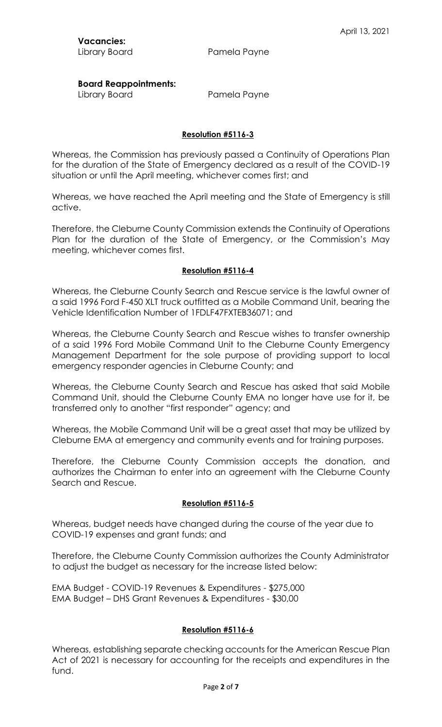# **Board Reappointments:**

Library Board **Pamela Payne** 

## **Resolution #5116-3**

Whereas, the Commission has previously passed a Continuity of Operations Plan for the duration of the State of Emergency declared as a result of the COVID-19 situation or until the April meeting, whichever comes first; and

Whereas, we have reached the April meeting and the State of Emergency is still active.

Therefore, the Cleburne County Commission extends the Continuity of Operations Plan for the duration of the State of Emergency, or the Commission's May meeting, whichever comes first.

### **Resolution #5116-4**

Whereas, the Cleburne County Search and Rescue service is the lawful owner of a said 1996 Ford F-450 XLT truck outfitted as a Mobile Command Unit, bearing the Vehicle Identification Number of 1FDLF47FXTEB36071; and

Whereas, the Cleburne County Search and Rescue wishes to transfer ownership of a said 1996 Ford Mobile Command Unit to the Cleburne County Emergency Management Department for the sole purpose of providing support to local emergency responder agencies in Cleburne County; and

Whereas, the Cleburne County Search and Rescue has asked that said Mobile Command Unit, should the Cleburne County EMA no longer have use for it, be transferred only to another "first responder" agency; and

Whereas, the Mobile Command Unit will be a great asset that may be utilized by Cleburne EMA at emergency and community events and for training purposes.

Therefore, the Cleburne County Commission accepts the donation, and authorizes the Chairman to enter into an agreement with the Cleburne County Search and Rescue.

## **Resolution #5116-5**

Whereas, budget needs have changed during the course of the year due to COVID-19 expenses and grant funds; and

Therefore, the Cleburne County Commission authorizes the County Administrator to adjust the budget as necessary for the increase listed below:

EMA Budget - COVID-19 Revenues & Expenditures - \$275,000 EMA Budget – DHS Grant Revenues & Expenditures - \$30,00

### **Resolution #5116-6**

Whereas, establishing separate checking accounts for the American Rescue Plan Act of 2021 is necessary for accounting for the receipts and expenditures in the fund.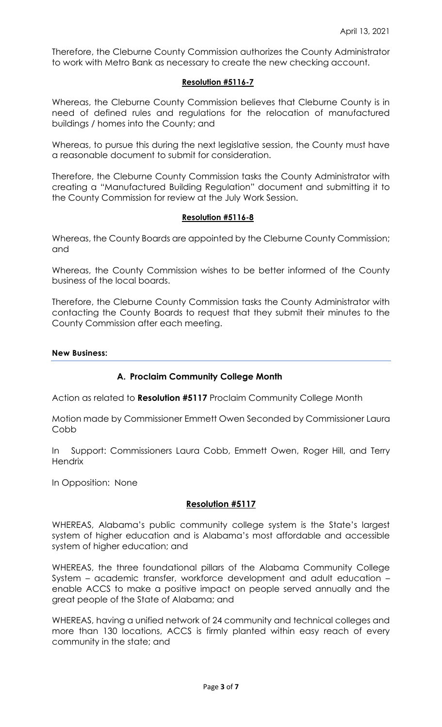Therefore, the Cleburne County Commission authorizes the County Administrator to work with Metro Bank as necessary to create the new checking account.

## **Resolution #5116-7**

Whereas, the Cleburne County Commission believes that Cleburne County is in need of defined rules and regulations for the relocation of manufactured buildings / homes into the County; and

Whereas, to pursue this during the next legislative session, the County must have a reasonable document to submit for consideration.

Therefore, the Cleburne County Commission tasks the County Administrator with creating a "Manufactured Building Regulation" document and submitting it to the County Commission for review at the July Work Session.

# **Resolution #5116-8**

Whereas, the County Boards are appointed by the Cleburne County Commission; and

Whereas, the County Commission wishes to be better informed of the County business of the local boards.

Therefore, the Cleburne County Commission tasks the County Administrator with contacting the County Boards to request that they submit their minutes to the County Commission after each meeting.

### **New Business:**

## **A. Proclaim Community College Month**

Action as related to **Resolution #5117** Proclaim Community College Month

Motion made by Commissioner Emmett Owen Seconded by Commissioner Laura Cobb

In Support: Commissioners Laura Cobb, Emmett Owen, Roger Hill, and Terry **Hendrix** 

In Opposition: None

## **Resolution #5117**

WHEREAS, Alabama's public community college system is the State's largest system of higher education and is Alabama's most affordable and accessible system of higher education; and

WHEREAS, the three foundational pillars of the Alabama Community College System – academic transfer, workforce development and adult education – enable ACCS to make a positive impact on people served annually and the great people of the State of Alabama; and

WHEREAS, having a unified network of 24 community and technical colleges and more than 130 locations, ACCS is firmly planted within easy reach of every community in the state; and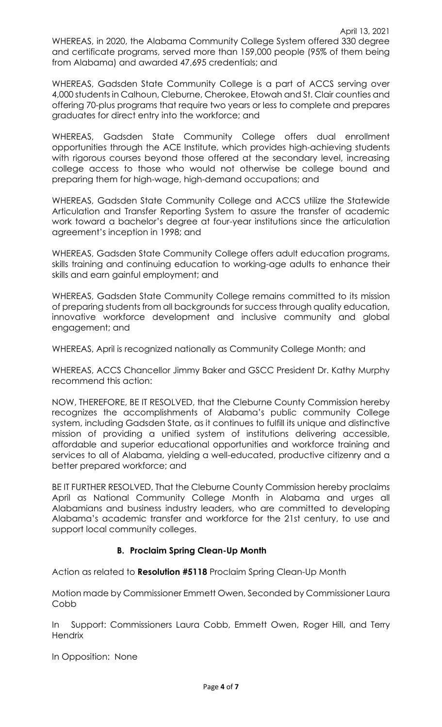WHEREAS, in 2020, the Alabama Community College System offered 330 degree and certificate programs, served more than 159,000 people (95% of them being from Alabama) and awarded 47,695 credentials; and

WHEREAS, Gadsden State Community College is a part of ACCS serving over 4,000 students in Calhoun, Cleburne, Cherokee, Etowah and St. Clair counties and offering 70-plus programs that require two years or less to complete and prepares graduates for direct entry into the workforce; and

WHEREAS, Gadsden State Community College offers dual enrollment opportunities through the ACE Institute, which provides high-achieving students with rigorous courses beyond those offered at the secondary level, increasing college access to those who would not otherwise be college bound and preparing them for high-wage, high-demand occupations; and

WHEREAS, Gadsden State Community College and ACCS utilize the Statewide Articulation and Transfer Reporting System to assure the transfer of academic work toward a bachelor's degree at four-year institutions since the articulation agreement's inception in 1998; and

WHEREAS, Gadsden State Community College offers adult education programs, skills training and continuing education to working-age adults to enhance their skills and earn gainful employment; and

WHEREAS, Gadsden State Community College remains committed to its mission of preparing students from all backgrounds for success through quality education, innovative workforce development and inclusive community and global engagement; and

WHEREAS, April is recognized nationally as Community College Month; and

WHEREAS, ACCS Chancellor Jimmy Baker and GSCC President Dr. Kathy Murphy recommend this action:

NOW, THEREFORE, BE IT RESOLVED, that the Cleburne County Commission hereby recognizes the accomplishments of Alabama's public community College system, including Gadsden State, as it continues to fulfill its unique and distinctive mission of providing a unified system of institutions delivering accessible, affordable and superior educational opportunities and workforce training and services to all of Alabama, yielding a well-educated, productive citizenry and a better prepared workforce; and

BE IT FURTHER RESOLVED, That the Cleburne County Commission hereby proclaims April as National Community College Month in Alabama and urges all Alabamians and business industry leaders, who are committed to developing Alabama's academic transfer and workforce for the 21st century, to use and support local community colleges.

# **B. Proclaim Spring Clean-Up Month**

Action as related to **Resolution #5118** Proclaim Spring Clean-Up Month

Motion made by Commissioner Emmett Owen, Seconded by Commissioner Laura Cobb

In Support: Commissioners Laura Cobb, Emmett Owen, Roger Hill, and Terry **Hendrix** 

In Opposition: None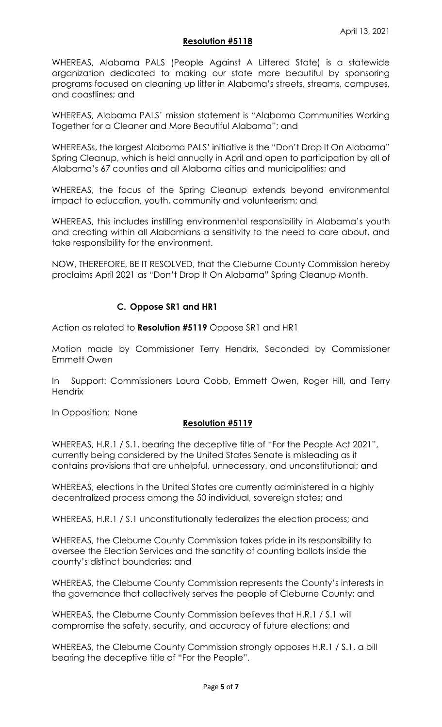## **Resolution #5118**

WHEREAS, Alabama PALS (People Against A Littered State) is a statewide organization dedicated to making our state more beautiful by sponsoring programs focused on cleaning up litter in Alabama's streets, streams, campuses, and coastlines; and

WHEREAS, Alabama PALS' mission statement is "Alabama Communities Working Together for a Cleaner and More Beautiful Alabama"; and

WHEREASs, the largest Alabama PALS' initiative is the "Don't Drop It On Alabama" Spring Cleanup, which is held annually in April and open to participation by all of Alabama's 67 counties and all Alabama cities and municipalities; and

WHEREAS, the focus of the Spring Cleanup extends beyond environmental impact to education, youth, community and volunteerism; and

WHEREAS, this includes instilling environmental responsibility in Alabama's youth and creating within all Alabamians a sensitivity to the need to care about, and take responsibility for the environment.

NOW, THEREFORE, BE IT RESOLVED, that the Cleburne County Commission hereby proclaims April 2021 as "Don't Drop It On Alabama" Spring Cleanup Month.

# **C. Oppose SR1 and HR1**

Action as related to **Resolution #5119** Oppose SR1 and HR1

Motion made by Commissioner Terry Hendrix, Seconded by Commissioner Emmett Owen

In Support: Commissioners Laura Cobb, Emmett Owen, Roger Hill, and Terry **Hendrix** 

In Opposition: None

## **Resolution #5119**

WHEREAS, H.R.1 / S.1, bearing the deceptive title of "For the People Act 2021", currently being considered by the United States Senate is misleading as it contains provisions that are unhelpful, unnecessary, and unconstitutional; and

WHEREAS, elections in the United States are currently administered in a highly decentralized process among the 50 individual, sovereign states; and

WHEREAS, H.R.1 / S.1 unconstitutionally federalizes the election process; and

WHEREAS, the Cleburne County Commission takes pride in its responsibility to oversee the Election Services and the sanctity of counting ballots inside the county's distinct boundaries; and

WHEREAS, the Cleburne County Commission represents the County's interests in the governance that collectively serves the people of Cleburne County; and

WHEREAS, the Cleburne County Commission believes that H.R.1 / S.1 will compromise the safety, security, and accuracy of future elections; and

WHEREAS, the Cleburne County Commission strongly opposes H.R.1 / S.1, a bill bearing the deceptive title of "For the People".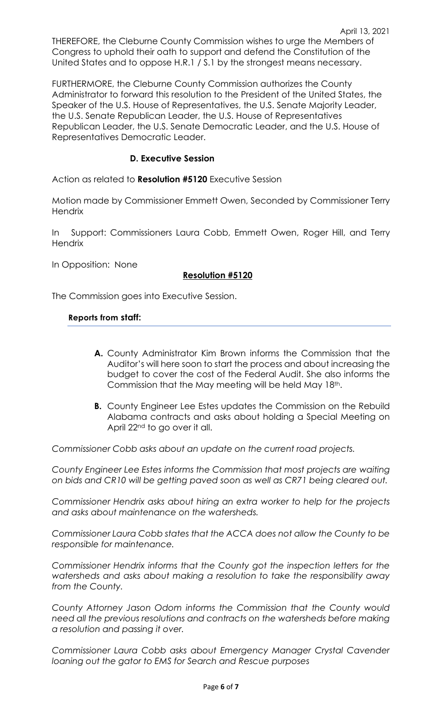April 13, 2021 THEREFORE, the Cleburne County Commission wishes to urge the Members of Congress to uphold their oath to support and defend the Constitution of the United States and to oppose H.R.1 / S.1 by the strongest means necessary.

FURTHERMORE, the Cleburne County Commission authorizes the County Administrator to forward this resolution to the President of the United States, the Speaker of the U.S. House of Representatives, the U.S. Senate Majority Leader, the U.S. Senate Republican Leader, the U.S. House of Representatives Republican Leader, the U.S. Senate Democratic Leader, and the U.S. House of Representatives Democratic Leader.

# **D. Executive Session**

Action as related to **Resolution #5120** Executive Session

Motion made by Commissioner Emmett Owen, Seconded by Commissioner Terry **Hendrix** 

In Support: Commissioners Laura Cobb, Emmett Owen, Roger Hill, and Terry **Hendrix** 

In Opposition: None

## **Resolution #5120**

The Commission goes into Executive Session.

## **Reports from staff:**

- **A.** County Administrator Kim Brown informs the Commission that the Auditor's will here soon to start the process and about increasing the budget to cover the cost of the Federal Audit. She also informs the Commission that the May meeting will be held May 18th.
- **B.** County Engineer Lee Estes updates the Commission on the Rebuild Alabama contracts and asks about holding a Special Meeting on April 22nd to go over it all.

*Commissioner Cobb asks about an update on the current road projects.*

*County Engineer Lee Estes informs the Commission that most projects are waiting on bids and CR10 will be getting paved soon as well as CR71 being cleared out.*

*Commissioner Hendrix asks about hiring an extra worker to help for the projects and asks about maintenance on the watersheds.*

*Commissioner Laura Cobb states that the ACCA does not allow the County to be responsible for maintenance.*

*Commissioner Hendrix informs that the County got the inspection letters for the watersheds and asks about making a resolution to take the responsibility away from the County.*

*County Attorney Jason Odom informs the Commission that the County would need all the previous resolutions and contracts on the watersheds before making a resolution and passing it over.*

*Commissioner Laura Cobb asks about Emergency Manager Crystal Cavender loaning out the gator to EMS for Search and Rescue purposes*